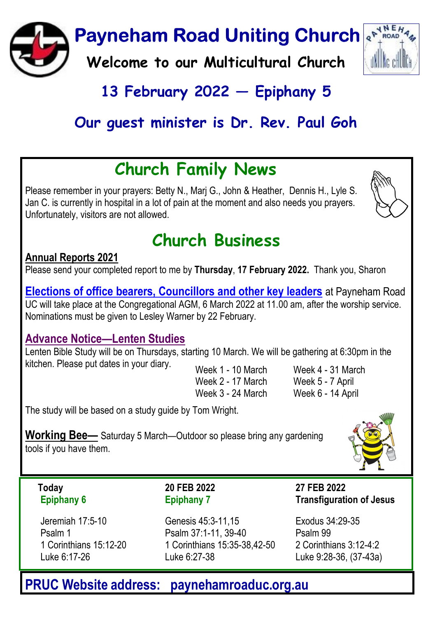

## 13 February 2022  $-$  Epiphany 5

## Our auest minister is Dr. Rev. Paul Goh

# Church Family News

Please remember in your prayers: Betty N., Marj G., John & Heather, Dennis H., Lyle S. Jan C. is currently in hospital in a lot of pain at the moment and also needs you prayers. Unfortunately, visitors are not allowed.



# Church Business

#### Annual Reports 2021

Please send your completed report to me by Thursday, 17 February 2022. Thank you, Sharon

Elections of office bearers, Councillors and other key leaders at Payneham Road UC will take place at the Congregational AGM, 6 March 2022 at 11.00 am, after the worship service. Nominations must be given to Lesley Warner by 22 February.

#### Advance Notice—Lenten Studies

Lenten Bible Study will be on Thursdays, starting 10 March. We will be gathering at 6:30pm in the kitchen. Please put dates in your diary. Week 1 - 10 March

Week 2 - 17 March Week 3 - 24 March Week 4 - 31 March Week 5 - 7 April Week 6 - 14 April

The study will be based on a study guide by Tom Wright.

Working Bee— Saturday 5 March—Outdoor so please bring any gardening tools if you have them.



Today Epiphany 6

Jeremiah 17:5-10 Psalm 1 1 Corinthians 15:12-20 Luke 6:17-26

20 FEB 2022 Epiphany 7

Genesis 45:3-11,15 Psalm 37:1-11, 39-40 1 Corinthians 15:35-38,42-50 Luke 6:27-38

27 FEB 2022 Transfiguration of Jesus

Exodus 34:29-35 Psalm 99 2 Corinthians 3:12-4:2 Luke 9:28-36, (37-43a)

### PRUC Website address: paynehamroaduc.org.au